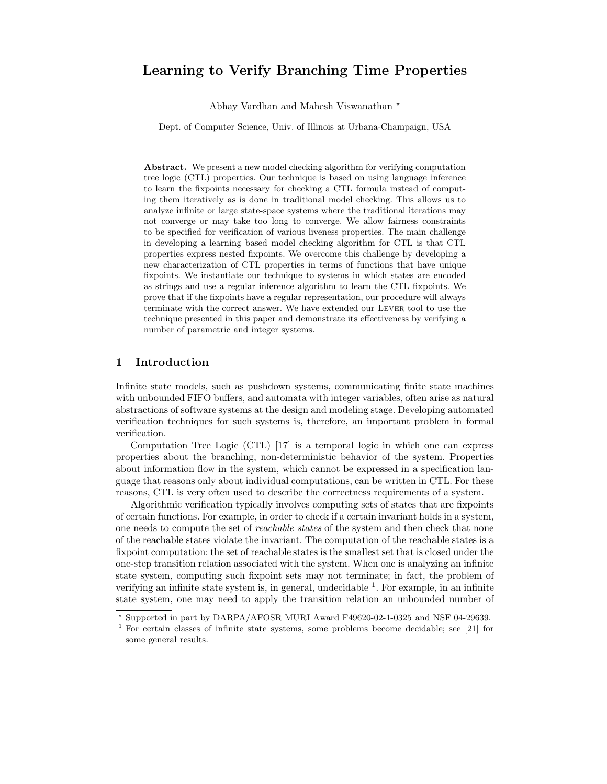# Learning to Verify Branching Time Properties

Abhay Vardhan and Mahesh Viswanathan ?

Dept. of Computer Science, Univ. of Illinois at Urbana-Champaign, USA

Abstract. We present a new model checking algorithm for verifying computation tree logic (CTL) properties. Our technique is based on using language inference to learn the fixpoints necessary for checking a CTL formula instead of computing them iteratively as is done in traditional model checking. This allows us to analyze infinite or large state-space systems where the traditional iterations may not converge or may take too long to converge. We allow fairness constraints to be specified for verification of various liveness properties. The main challenge in developing a learning based model checking algorithm for CTL is that CTL properties express nested fixpoints. We overcome this challenge by developing a new characterization of CTL properties in terms of functions that have unique fixpoints. We instantiate our technique to systems in which states are encoded as strings and use a regular inference algorithm to learn the CTL fixpoints. We prove that if the fixpoints have a regular representation, our procedure will always terminate with the correct answer. We have extended our Lever tool to use the technique presented in this paper and demonstrate its effectiveness by verifying a number of parametric and integer systems.

## 1 Introduction

Infinite state models, such as pushdown systems, communicating finite state machines with unbounded FIFO buffers, and automata with integer variables, often arise as natural abstractions of software systems at the design and modeling stage. Developing automated verification techniques for such systems is, therefore, an important problem in formal verification.

Computation Tree Logic (CTL) [17] is a temporal logic in which one can express properties about the branching, non-deterministic behavior of the system. Properties about information flow in the system, which cannot be expressed in a specification language that reasons only about individual computations, can be written in CTL. For these reasons, CTL is very often used to describe the correctness requirements of a system.

Algorithmic verification typically involves computing sets of states that are fixpoints of certain functions. For example, in order to check if a certain invariant holds in a system, one needs to compute the set of reachable states of the system and then check that none of the reachable states violate the invariant. The computation of the reachable states is a fixpoint computation: the set of reachable states is the smallest set that is closed under the one-step transition relation associated with the system. When one is analyzing an infinite state system, computing such fixpoint sets may not terminate; in fact, the problem of verifying an infinite state system is, in general, undecidable  $<sup>1</sup>$ . For example, in an infinite</sup> state system, one may need to apply the transition relation an unbounded number of

<sup>?</sup> Supported in part by DARPA/AFOSR MURI Award F49620-02-1-0325 and NSF 04-29639.

<sup>1</sup> For certain classes of infinite state systems, some problems become decidable; see [21] for some general results.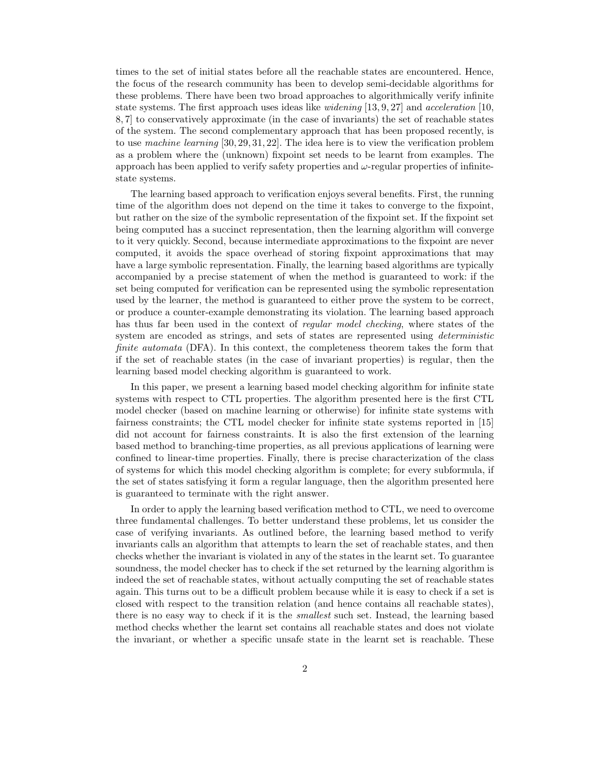times to the set of initial states before all the reachable states are encountered. Hence, the focus of the research community has been to develop semi-decidable algorithms for these problems. There have been two broad approaches to algorithmically verify infinite state systems. The first approach uses ideas like widening [13, 9, 27] and acceleration [10, 8, 7] to conservatively approximate (in the case of invariants) the set of reachable states of the system. The second complementary approach that has been proposed recently, is to use machine learning [30, 29, 31, 22]. The idea here is to view the verification problem as a problem where the (unknown) fixpoint set needs to be learnt from examples. The approach has been applied to verify safety properties and  $\omega$ -regular properties of infinitestate systems.

The learning based approach to verification enjoys several benefits. First, the running time of the algorithm does not depend on the time it takes to converge to the fixpoint, but rather on the size of the symbolic representation of the fixpoint set. If the fixpoint set being computed has a succinct representation, then the learning algorithm will converge to it very quickly. Second, because intermediate approximations to the fixpoint are never computed, it avoids the space overhead of storing fixpoint approximations that may have a large symbolic representation. Finally, the learning based algorithms are typically accompanied by a precise statement of when the method is guaranteed to work: if the set being computed for verification can be represented using the symbolic representation used by the learner, the method is guaranteed to either prove the system to be correct, or produce a counter-example demonstrating its violation. The learning based approach has thus far been used in the context of regular model checking, where states of the system are encoded as strings, and sets of states are represented using *deterministic* finite automata (DFA). In this context, the completeness theorem takes the form that if the set of reachable states (in the case of invariant properties) is regular, then the learning based model checking algorithm is guaranteed to work.

In this paper, we present a learning based model checking algorithm for infinite state systems with respect to CTL properties. The algorithm presented here is the first CTL model checker (based on machine learning or otherwise) for infinite state systems with fairness constraints; the CTL model checker for infinite state systems reported in [15] did not account for fairness constraints. It is also the first extension of the learning based method to branching-time properties, as all previous applications of learning were confined to linear-time properties. Finally, there is precise characterization of the class of systems for which this model checking algorithm is complete; for every subformula, if the set of states satisfying it form a regular language, then the algorithm presented here is guaranteed to terminate with the right answer.

In order to apply the learning based verification method to CTL, we need to overcome three fundamental challenges. To better understand these problems, let us consider the case of verifying invariants. As outlined before, the learning based method to verify invariants calls an algorithm that attempts to learn the set of reachable states, and then checks whether the invariant is violated in any of the states in the learnt set. To guarantee soundness, the model checker has to check if the set returned by the learning algorithm is indeed the set of reachable states, without actually computing the set of reachable states again. This turns out to be a difficult problem because while it is easy to check if a set is closed with respect to the transition relation (and hence contains all reachable states), there is no easy way to check if it is the smallest such set. Instead, the learning based method checks whether the learnt set contains all reachable states and does not violate the invariant, or whether a specific unsafe state in the learnt set is reachable. These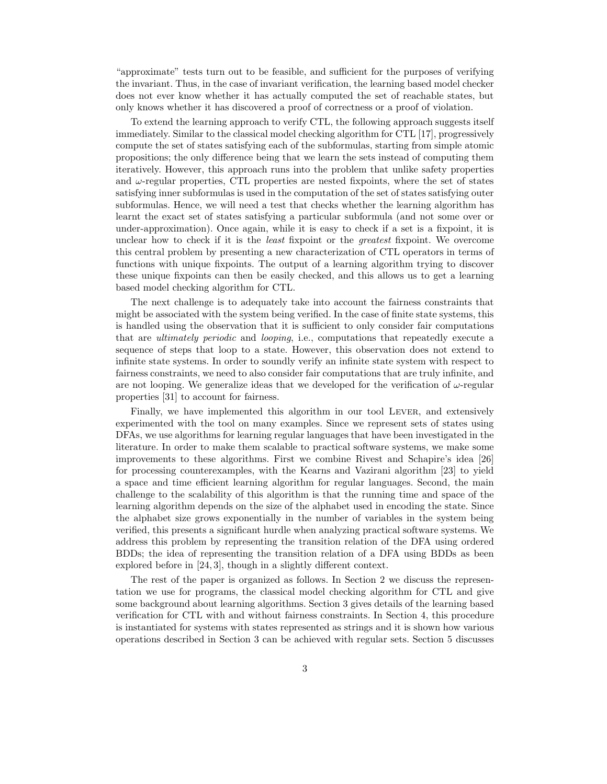"approximate" tests turn out to be feasible, and sufficient for the purposes of verifying the invariant. Thus, in the case of invariant verification, the learning based model checker does not ever know whether it has actually computed the set of reachable states, but only knows whether it has discovered a proof of correctness or a proof of violation.

To extend the learning approach to verify CTL, the following approach suggests itself immediately. Similar to the classical model checking algorithm for CTL [17], progressively compute the set of states satisfying each of the subformulas, starting from simple atomic propositions; the only difference being that we learn the sets instead of computing them iteratively. However, this approach runs into the problem that unlike safety properties and  $\omega$ -regular properties, CTL properties are nested fixpoints, where the set of states satisfying inner subformulas is used in the computation of the set of states satisfying outer subformulas. Hence, we will need a test that checks whether the learning algorithm has learnt the exact set of states satisfying a particular subformula (and not some over or under-approximation). Once again, while it is easy to check if a set is a fixpoint, it is unclear how to check if it is the *least* fixpoint or the *greatest* fixpoint. We overcome this central problem by presenting a new characterization of CTL operators in terms of functions with unique fixpoints. The output of a learning algorithm trying to discover these unique fixpoints can then be easily checked, and this allows us to get a learning based model checking algorithm for CTL.

The next challenge is to adequately take into account the fairness constraints that might be associated with the system being verified. In the case of finite state systems, this is handled using the observation that it is sufficient to only consider fair computations that are ultimately periodic and looping, i.e., computations that repeatedly execute a sequence of steps that loop to a state. However, this observation does not extend to infinite state systems. In order to soundly verify an infinite state system with respect to fairness constraints, we need to also consider fair computations that are truly infinite, and are not looping. We generalize ideas that we developed for the verification of  $\omega$ -regular properties [31] to account for fairness.

Finally, we have implemented this algorithm in our tool Lever, and extensively experimented with the tool on many examples. Since we represent sets of states using DFAs, we use algorithms for learning regular languages that have been investigated in the literature. In order to make them scalable to practical software systems, we make some improvements to these algorithms. First we combine Rivest and Schapire's idea [26] for processing counterexamples, with the Kearns and Vazirani algorithm [23] to yield a space and time efficient learning algorithm for regular languages. Second, the main challenge to the scalability of this algorithm is that the running time and space of the learning algorithm depends on the size of the alphabet used in encoding the state. Since the alphabet size grows exponentially in the number of variables in the system being verified, this presents a significant hurdle when analyzing practical software systems. We address this problem by representing the transition relation of the DFA using ordered BDDs; the idea of representing the transition relation of a DFA using BDDs as been explored before in [24, 3], though in a slightly different context.

The rest of the paper is organized as follows. In Section 2 we discuss the representation we use for programs, the classical model checking algorithm for CTL and give some background about learning algorithms. Section 3 gives details of the learning based verification for CTL with and without fairness constraints. In Section 4, this procedure is instantiated for systems with states represented as strings and it is shown how various operations described in Section 3 can be achieved with regular sets. Section 5 discusses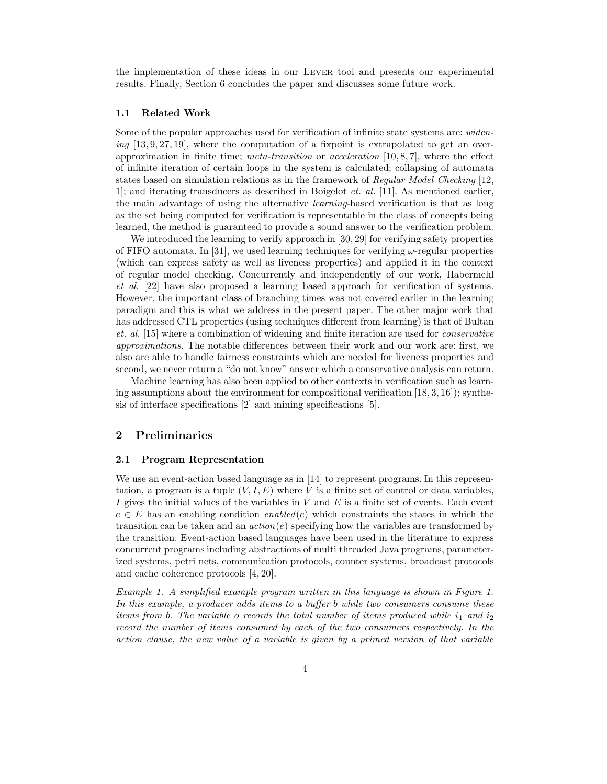the implementation of these ideas in our Lever tool and presents our experimental results. Finally, Section 6 concludes the paper and discusses some future work.

### 1.1 Related Work

Some of the popular approaches used for verification of infinite state systems are: widening  $[13, 9, 27, 19]$ , where the computation of a fixpoint is extrapolated to get an overapproximation in finite time; *meta-transition* or *acceleration* [10, 8, 7], where the effect of infinite iteration of certain loops in the system is calculated; collapsing of automata states based on simulation relations as in the framework of Regular Model Checking [12, 1]; and iterating transducers as described in Boigelot et. al. [11]. As mentioned earlier, the main advantage of using the alternative learning-based verification is that as long as the set being computed for verification is representable in the class of concepts being learned, the method is guaranteed to provide a sound answer to the verification problem.

We introduced the learning to verify approach in [30, 29] for verifying safety properties of FIFO automata. In [31], we used learning techniques for verifying  $\omega$ -regular properties (which can express safety as well as liveness properties) and applied it in the context of regular model checking. Concurrently and independently of our work, Habermehl et al. [22] have also proposed a learning based approach for verification of systems. However, the important class of branching times was not covered earlier in the learning paradigm and this is what we address in the present paper. The other major work that has addressed CTL properties (using techniques different from learning) is that of Bultan et. al. [15] where a combination of widening and finite iteration are used for conservative approximations. The notable differences between their work and our work are: first, we also are able to handle fairness constraints which are needed for liveness properties and second, we never return a "do not know" answer which a conservative analysis can return.

Machine learning has also been applied to other contexts in verification such as learning assumptions about the environment for compositional verification  $[18, 3, 16]$ ; synthesis of interface specifications [2] and mining specifications [5].

### 2 Preliminaries

#### 2.1 Program Representation

We use an event-action based language as in [14] to represent programs. In this representation, a program is a tuple  $(V, I, E)$  where V is a finite set of control or data variables, I gives the initial values of the variables in  $V$  and  $E$  is a finite set of events. Each event  $e \in E$  has an enabling condition enabled(e) which constraints the states in which the transition can be taken and an  $action(e)$  specifying how the variables are transformed by the transition. Event-action based languages have been used in the literature to express concurrent programs including abstractions of multi threaded Java programs, parameterized systems, petri nets, communication protocols, counter systems, broadcast protocols and cache coherence protocols [4, 20].

Example 1. A simplified example program written in this language is shown in Figure 1. In this example, a producer adds items to a buffer b while two consumers consume these items from b. The variable o records the total number of items produced while  $i_1$  and  $i_2$ record the number of items consumed by each of the two consumers respectively. In the action clause, the new value of a variable is given by a primed version of that variable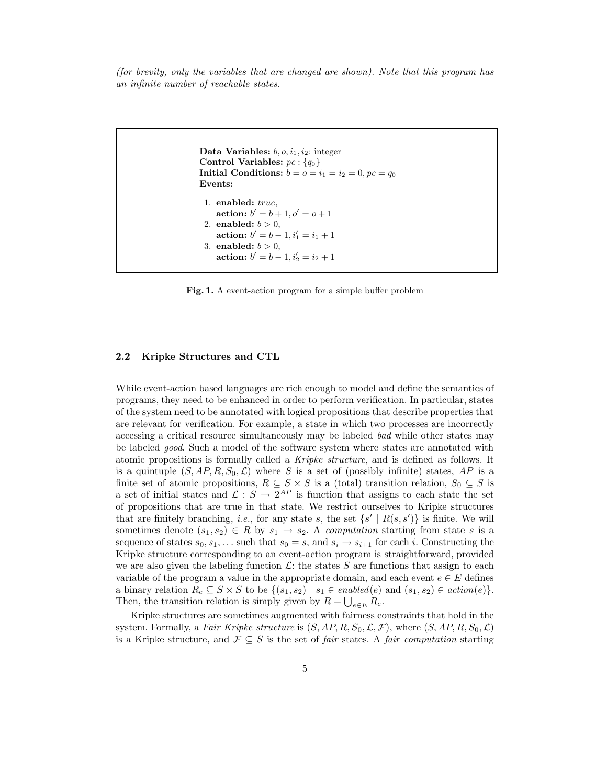(for brevity, only the variables that are changed are shown). Note that this program has an infinite number of reachable states.

```
Data Variables: b, o, i_1, i_2: integer
Control Variables: pc: \{q_0\}Initial Conditions: b = 0 = i_1 = i_2 = 0, pc = q_0Events:
 1. enabled: true,
    action: b' = b + 1, o' = o + 12. enabled: b > 0,
    action: b' = b - 1, i'_1 = i_1 + 13. enabled: b > 0,
    action: b' = b - 1, i'_2 = i_2 + 1
```
Fig. 1. A event-action program for a simple buffer problem

#### 2.2 Kripke Structures and CTL

While event-action based languages are rich enough to model and define the semantics of programs, they need to be enhanced in order to perform verification. In particular, states of the system need to be annotated with logical propositions that describe properties that are relevant for verification. For example, a state in which two processes are incorrectly accessing a critical resource simultaneously may be labeled bad while other states may be labeled good. Such a model of the software system where states are annotated with atomic propositions is formally called a Kripke structure, and is defined as follows. It is a quintuple  $(S, AP, R, S_0, \mathcal{L})$  where S is a set of (possibly infinite) states, AP is a finite set of atomic propositions,  $R \subseteq S \times S$  is a (total) transition relation,  $S_0 \subseteq S$  is a set of initial states and  $\mathcal{L}: S \to 2^{AP}$  is function that assigns to each state the set of propositions that are true in that state. We restrict ourselves to Kripke structures that are finitely branching, *i.e.*, for any state s, the set  $\{s' | R(s, s')\}$  is finite. We will sometimes denote  $(s_1, s_2) \in R$  by  $s_1 \to s_2$ . A computation starting from state s is a sequence of states  $s_0, s_1, \ldots$  such that  $s_0 = s$ , and  $s_i \rightarrow s_{i+1}$  for each i. Constructing the Kripke structure corresponding to an event-action program is straightforward, provided we are also given the labeling function  $\mathcal{L}$ : the states S are functions that assign to each variable of the program a value in the appropriate domain, and each event  $e \in E$  defines a binary relation  $R_e \subseteq S \times S$  to be  $\{(s_1, s_2) \mid s_1 \in enabled(e) \text{ and } (s_1, s_2) \in action(e)\}.$ Then, the transition relation is simply given by  $R = \bigcup_{e \in E} R_e$ .

Kripke structures are sometimes augmented with fairness constraints that hold in the system. Formally, a Fair Kripke structure is  $(S, AP, R, S_0, \mathcal{L}, \mathcal{F})$ , where  $(S, AP, R, S_0, \mathcal{L})$ is a Kripke structure, and  $\mathcal{F} \subseteq S$  is the set of fair states. A fair computation starting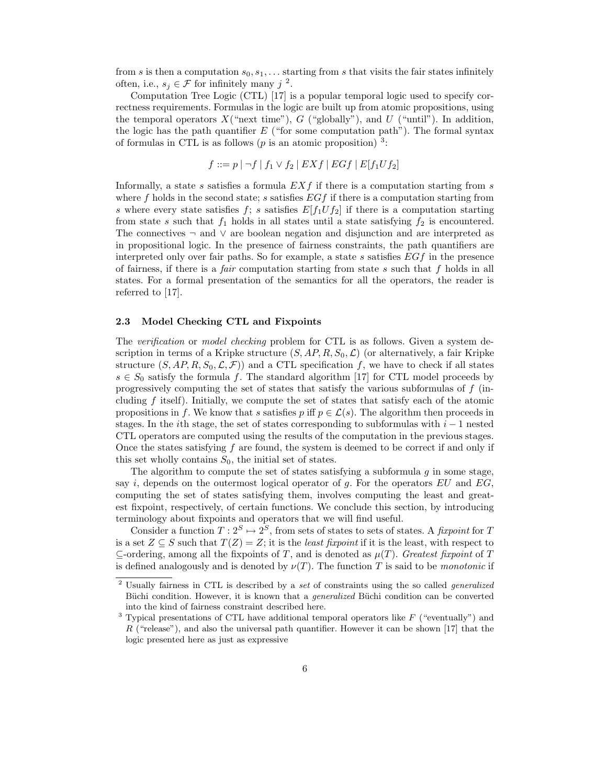from s is then a computation  $s_0, s_1, \ldots$  starting from s that visits the fair states infinitely often, i.e.,  $s_j \in \mathcal{F}$  for infinitely many  $j^2$ .

Computation Tree Logic (CTL) [17] is a popular temporal logic used to specify correctness requirements. Formulas in the logic are built up from atomic propositions, using the temporal operators  $X$ ("next time"),  $G$  ("globally"), and  $U$  ("until"). In addition, the logic has the path quantifier  $E$  ("for some computation path"). The formal syntax of formulas in CTL is as follows ( $p$  is an atomic proposition)<sup>3</sup>:

$$
f ::= p | \neg f | f_1 \vee f_2 | EX f | EG f | E[f_1 U f_2]
$$

Informally, a state s satisfies a formula  $EXf$  if there is a computation starting from s where f holds in the second state; s satisfies  $EGf$  if there is a computation starting from s where every state satisfies f; s satisfies  $E[f_1Uf_2]$  if there is a computation starting from state s such that  $f_1$  holds in all states until a state satisfying  $f_2$  is encountered. The connectives ¬ and ∨ are boolean negation and disjunction and are interpreted as in propositional logic. In the presence of fairness constraints, the path quantifiers are interpreted only over fair paths. So for example, a state s satisfies  $EGf$  in the presence of fairness, if there is a *fair* computation starting from state s such that f holds in all states. For a formal presentation of the semantics for all the operators, the reader is referred to [17].

#### 2.3 Model Checking CTL and Fixpoints

The verification or model checking problem for CTL is as follows. Given a system description in terms of a Kripke structure  $(S, AP, R, S_0, \mathcal{L})$  (or alternatively, a fair Kripke structure  $(S, AP, R, S_0, \mathcal{L}, \mathcal{F})$  and a CTL specification f, we have to check if all states  $s \in S_0$  satisfy the formula f. The standard algorithm [17] for CTL model proceeds by progressively computing the set of states that satisfy the various subformulas of f (including  $f$  itself). Initially, we compute the set of states that satisfy each of the atomic propositions in f. We know that s satisfies p iff  $p \in \mathcal{L}(s)$ . The algorithm then proceeds in stages. In the *i*th stage, the set of states corresponding to subformulas with  $i - 1$  nested CTL operators are computed using the results of the computation in the previous stages. Once the states satisfying  $f$  are found, the system is deemed to be correct if and only if this set wholly contains  $S_0$ , the initial set of states.

The algorithm to compute the set of states satisfying a subformula  $g$  in some stage, say i, depends on the outermost logical operator of q. For the operators  $EU$  and  $EG$ , computing the set of states satisfying them, involves computing the least and greatest fixpoint, respectively, of certain functions. We conclude this section, by introducing terminology about fixpoints and operators that we will find useful.

Consider a function  $T: 2^S \mapsto 2^S$ , from sets of states to sets of states. A *fixpoint* for T is a set  $Z \subseteq S$  such that  $T(Z) = Z$ ; it is the *least fixpoint* if it is the least, with respect to  $\subseteq$ -ordering, among all the fixpoints of T, and is denoted as  $\mu(T)$ . Greatest fixpoint of T is defined analogously and is denoted by  $\nu(T)$ . The function T is said to be *monotonic* if

<sup>&</sup>lt;sup>2</sup> Usually fairness in CTL is described by a set of constraints using the so called *generalized* Buchi condition. However, it is known that a *generalized* Buchi condition can be converted into the kind of fairness constraint described here.

 $3$  Typical presentations of CTL have additional temporal operators like  $F$  ("eventually") and R ("release"), and also the universal path quantifier. However it can be shown  $|17|$  that the logic presented here as just as expressive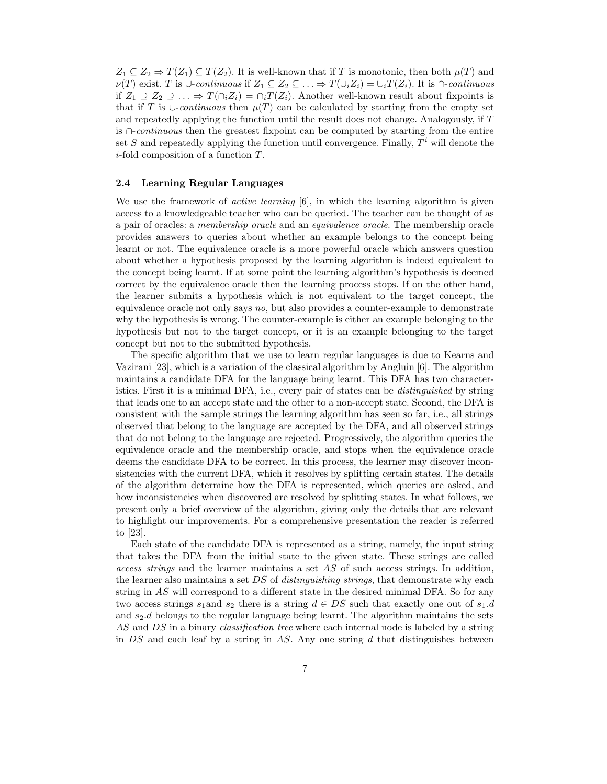$Z_1 \subseteq Z_2 \Rightarrow T(Z_1) \subseteq T(Z_2)$ . It is well-known that if T is monotonic, then both  $\mu(T)$  and  $\nu(T)$  exist. T is ∪-continuous if  $Z_1 \subseteq Z_2 \subseteq \ldots \Rightarrow T(\cup_i Z_i) = \cup_i T(Z_i)$ . It is  $\cap$ -continuous if  $Z_1 \supseteq Z_2 \supseteqeq \ldots \Rightarrow T(\bigcap_i Z_i) = \bigcap_i T(Z_i)$ . Another well-known result about fixpoints is that if T is ∪-continuous then  $\mu(T)$  can be calculated by starting from the empty set and repeatedly applying the function until the result does not change. Analogously, if T is ∩-continuous then the greatest fixpoint can be computed by starting from the entire set S and repeatedly applying the function until convergence. Finally,  $T<sup>i</sup>$  will denote the i-fold composition of a function T.

### 2.4 Learning Regular Languages

We use the framework of *active learning*  $[6]$ , in which the learning algorithm is given access to a knowledgeable teacher who can be queried. The teacher can be thought of as a pair of oracles: a membership oracle and an equivalence oracle. The membership oracle provides answers to queries about whether an example belongs to the concept being learnt or not. The equivalence oracle is a more powerful oracle which answers question about whether a hypothesis proposed by the learning algorithm is indeed equivalent to the concept being learnt. If at some point the learning algorithm's hypothesis is deemed correct by the equivalence oracle then the learning process stops. If on the other hand, the learner submits a hypothesis which is not equivalent to the target concept, the equivalence oracle not only says no, but also provides a counter-example to demonstrate why the hypothesis is wrong. The counter-example is either an example belonging to the hypothesis but not to the target concept, or it is an example belonging to the target concept but not to the submitted hypothesis.

The specific algorithm that we use to learn regular languages is due to Kearns and Vazirani [23], which is a variation of the classical algorithm by Angluin [6]. The algorithm maintains a candidate DFA for the language being learnt. This DFA has two characteristics. First it is a minimal DFA, i.e., every pair of states can be distinguished by string that leads one to an accept state and the other to a non-accept state. Second, the DFA is consistent with the sample strings the learning algorithm has seen so far, i.e., all strings observed that belong to the language are accepted by the DFA, and all observed strings that do not belong to the language are rejected. Progressively, the algorithm queries the equivalence oracle and the membership oracle, and stops when the equivalence oracle deems the candidate DFA to be correct. In this process, the learner may discover inconsistencies with the current DFA, which it resolves by splitting certain states. The details of the algorithm determine how the DFA is represented, which queries are asked, and how inconsistencies when discovered are resolved by splitting states. In what follows, we present only a brief overview of the algorithm, giving only the details that are relevant to highlight our improvements. For a comprehensive presentation the reader is referred to [23].

Each state of the candidate DFA is represented as a string, namely, the input string that takes the DFA from the initial state to the given state. These strings are called access strings and the learner maintains a set AS of such access strings. In addition, the learner also maintains a set DS of *distinguishing strings*, that demonstrate why each string in AS will correspond to a different state in the desired minimal DFA. So for any two access strings  $s_1$  and  $s_2$  there is a string  $d \in DS$  such that exactly one out of  $s_1.d$ and  $s_2$ .d belongs to the regular language being learnt. The algorithm maintains the sets AS and DS in a binary *classification tree* where each internal node is labeled by a string in  $DS$  and each leaf by a string in  $AS$ . Any one string  $d$  that distinguishes between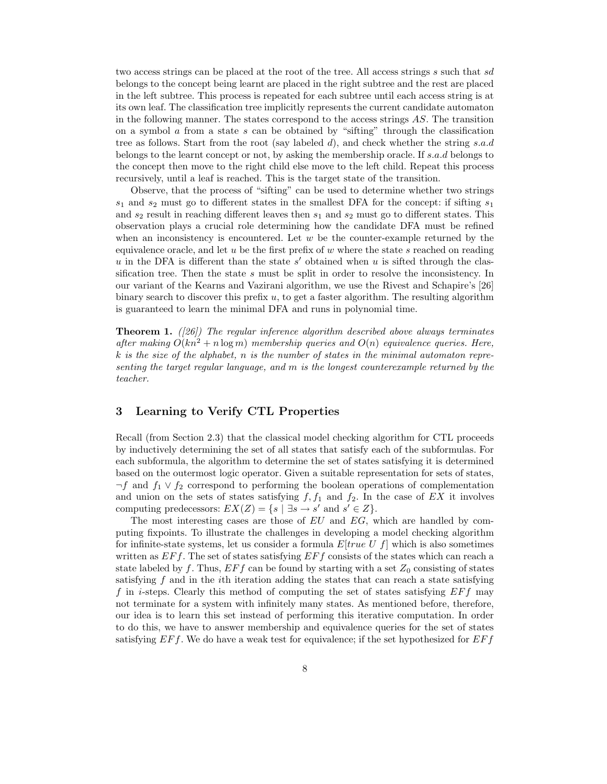two access strings can be placed at the root of the tree. All access strings s such that sd belongs to the concept being learnt are placed in the right subtree and the rest are placed in the left subtree. This process is repeated for each subtree until each access string is at its own leaf. The classification tree implicitly represents the current candidate automaton in the following manner. The states correspond to the access strings AS. The transition on a symbol  $\alpha$  from a state  $s$  can be obtained by "sifting" through the classification tree as follows. Start from the root (say labeled d), and check whether the string s.a.d belongs to the learnt concept or not, by asking the membership oracle. If s.a.d belongs to the concept then move to the right child else move to the left child. Repeat this process recursively, until a leaf is reached. This is the target state of the transition.

Observe, that the process of "sifting" can be used to determine whether two strings  $s_1$  and  $s_2$  must go to different states in the smallest DFA for the concept: if sifting  $s_1$ and  $s_2$  result in reaching different leaves then  $s_1$  and  $s_2$  must go to different states. This observation plays a crucial role determining how the candidate DFA must be refined when an inconsistency is encountered. Let  $w$  be the counter-example returned by the equivalence oracle, and let  $u$  be the first prefix of  $w$  where the state  $s$  reached on reading  $u$  in the DFA is different than the state  $s'$  obtained when  $u$  is sifted through the classification tree. Then the state s must be split in order to resolve the inconsistency. In our variant of the Kearns and Vazirani algorithm, we use the Rivest and Schapire's [26] binary search to discover this prefix  $u$ , to get a faster algorithm. The resulting algorithm is guaranteed to learn the minimal DFA and runs in polynomial time.

**Theorem 1.** ([26]) The regular inference algorithm described above always terminates after making  $O(kn^2 + n \log m)$  membership queries and  $O(n)$  equivalence queries. Here,  $k$  is the size of the alphabet, n is the number of states in the minimal automaton representing the target regular language, and m is the longest counterexample returned by the teacher.

## 3 Learning to Verify CTL Properties

Recall (from Section 2.3) that the classical model checking algorithm for CTL proceeds by inductively determining the set of all states that satisfy each of the subformulas. For each subformula, the algorithm to determine the set of states satisfying it is determined based on the outermost logic operator. Given a suitable representation for sets of states,  $\neg f$  and  $f_1 \lor f_2$  correspond to performing the boolean operations of complementation and union on the sets of states satisfying  $f, f_1$  and  $f_2$ . In the case of EX it involves computing predecessors:  $EX(Z) = \{s \mid \exists s \rightarrow s' \text{ and } s' \in Z\}.$ 

The most interesting cases are those of EU and EG, which are handled by computing fixpoints. To illustrate the challenges in developing a model checking algorithm for infinite-state systems, let us consider a formula  $E[true U f]$  which is also sometimes written as  $E\ddot{F}f$ . The set of states satisfying  $E\ddot{F}f$  consists of the states which can reach a state labeled by f. Thus,  $E F f$  can be found by starting with a set  $Z_0$  consisting of states satisfying  $f$  and in the *i*th iteration adding the states that can reach a state satisfying f in *i*-steps. Clearly this method of computing the set of states satisfying  $E\dot{F}f$  may not terminate for a system with infinitely many states. As mentioned before, therefore, our idea is to learn this set instead of performing this iterative computation. In order to do this, we have to answer membership and equivalence queries for the set of states satisfying  $E\dot{F}f$ . We do have a weak test for equivalence; if the set hypothesized for  $E\dot{F}f$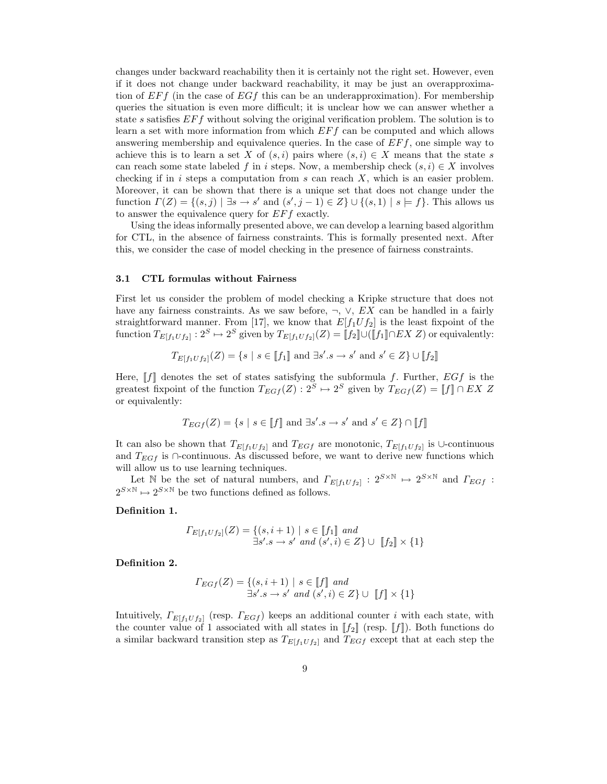changes under backward reachability then it is certainly not the right set. However, even if it does not change under backward reachability, it may be just an overapproximation of  $E\llap{/}F\llap{/}f$  (in the case of  $E\llap{/}G\llap{/}f$  this can be an underapproximation). For membership queries the situation is even more difficult; it is unclear how we can answer whether a state s satisfies  $E\dot{F}f$  without solving the original verification problem. The solution is to learn a set with more information from which  $E\{Ff \}$  can be computed and which allows answering membership and equivalence queries. In the case of  $E\ddot{F}f$ , one simple way to achieve this is to learn a set X of  $(s, i)$  pairs where  $(s, i) \in X$  means that the state s can reach some state labeled f in i steps. Now, a membership check  $(s, i) \in X$  involves checking if in  $i$  steps a computation from  $s$  can reach  $X$ , which is an easier problem. Moreover, it can be shown that there is a unique set that does not change under the function  $\Gamma(Z) = \{(s, j) \mid \exists s \to s' \text{ and } (s', j - 1) \in Z\} \cup \{(s, 1) \mid s \models f\}.$  This allows us to answer the equivalence query for EFf exactly.

Using the ideas informally presented above, we can develop a learning based algorithm for CTL, in the absence of fairness constraints. This is formally presented next. After this, we consider the case of model checking in the presence of fairness constraints.

#### 3.1 CTL formulas without Fairness

First let us consider the problem of model checking a Kripke structure that does not have any fairness constraints. As we saw before,  $\neg$ ,  $\vee$ ,  $EX$  can be handled in a fairly straightforward manner. From [17], we know that  $E[f_1Uf_2]$  is the least fixpoint of the function  $T_{E[f_1Uf_2]}: 2^S \mapsto 2^S$  given by  $T_{E[f_1Uf_2]}(Z) = [[f_1]] \cap EX Z$  or equivalently:

$$
T_{E[f_1 \cup f_2]}(Z) = \{ s \mid s \in [f_1] \text{ and } \exists s'.s \to s' \text{ and } s' \in Z \} \cup [f_2]
$$

Here,  $\llbracket f \rrbracket$  denotes the set of states satisfying the subformula f. Further,  $EGf$  is the greatest fixpoint of the function  $T_{EGf}(Z) : 2^S \mapsto 2^S$  given by  $T_{EGf}(Z) = [f] \cap EX \nsubseteq Z$ or equivalently:

$$
T_{EGf}(Z) = \{ s \mid s \in [f] \text{ and } \exists s'.s \to s' \text{ and } s' \in Z \} \cap [f]
$$

It can also be shown that  $T_{E[f_1 U f_2]}$  and  $T_{EGf}$  are monotonic,  $T_{E[f_1 U f_2]}$  is ∪-continuous and  $T_{EGf}$  is ∩-continuous. As discussed before, we want to derive new functions which will allow us to use learning techniques.

Let N be the set of natural numbers, and  $\Gamma_{E[f_1 U f_2]} : 2^{S \times N} \mapsto 2^{S \times N}$  and  $\Gamma_{E G f}$ :  $2^{S \times \mathbb{N}} \mapsto 2^{S \times \mathbb{N}}$  be two functions defined as follows.

#### Definition 1.

$$
\Gamma_{E[f_1 \cup f_2]}(Z) = \{ (s, i + 1) \mid s \in [[f_1]] \text{ and } \\ \exists s'.s \to s' \text{ and } (s', i) \in Z \} \cup [[f_2]] \times \{1\}
$$

Definition 2.

$$
\Gamma_{EGf}(Z) = \{ (s, i+1) \mid s \in [[f]] \text{ and } \\ \exists s'.s \to s' \text{ and } (s', i) \in Z \} \cup [[f]] \times \{1\}
$$

Intuitively,  $\Gamma_{E[f_1 U f_2]}$  (resp.  $\Gamma_{E G f}$ ) keeps an additional counter i with each state, with the counter value of 1 associated with all states in  $[f_2]$  (resp. [f]). Both functions do a similar backward transition step as  $T_{E[f_1Uf_2]}$  and  $T_{EGf}$  except that at each step the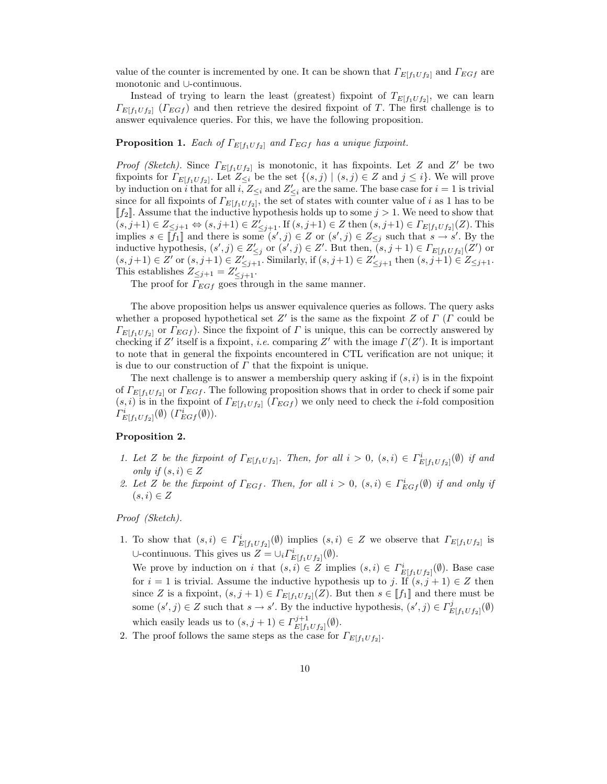value of the counter is incremented by one. It can be shown that  $\Gamma_{E[f_1U_f_2]}$  and  $\Gamma_{EGF}$  are monotonic and ∪-continuous.

Instead of trying to learn the least (greatest) fixpoint of  $T_{E[f_1U_{f_2}]}$ , we can learn  $\Gamma_{E[f_1 U f_2]}$  ( $\Gamma_{E G f}$ ) and then retrieve the desired fixpoint of T. The first challenge is to answer equivalence queries. For this, we have the following proposition.

### **Proposition 1.** Each of  $\Gamma_{E[f_1 \cup f_2]}$  and  $\Gamma_{E G f}$  has a unique fixpoint.

*Proof (Sketch)*. Since  $\Gamma_{E[f_1\cup f_2]}$  is monotonic, it has fixpoints. Let Z and Z' be two fixpoints for  $\Gamma_{E[f_1 U f_2]}$ . Let  $Z_{\leq i}$  be the set  $\{(s, j) | (s, j) \in Z \text{ and } j \leq i\}$ . We will prove by induction on i that for all i,  $Z_{\leq i}$  and  $Z'_{\leq i}$  are the same. The base case for  $i = 1$  is trivial since for all fixpoints of  $\Gamma_{E[f_1 U f_2]}$ , the set of states with counter value of i as 1 has to be  $\llbracket f_2 \rrbracket$ . Assume that the inductive hypothesis holds up to some  $j > 1$ . We need to show that  $(s, j+1) \in Z_{\leq j+1} \Leftrightarrow (s, j+1) \in Z'_{\leq j+1}$ . If  $(s, j+1) \in Z$  then  $(s, j+1) \in \Gamma_{E[f_1 \cup f_2]}(Z)$ . This implies  $s \in \llbracket f_1 \rrbracket$  and there is some  $(s', j) \in Z$  or  $(s', j) \in Z_{\leq j}$  such that  $s \to s'$ . By the inductive hypothesis,  $(s', j) \in Z'_{\leq j}$  or  $(s', j) \in Z'$ . But then,  $(s, j + 1) \in \Gamma_{E[f_1 \cup f_2]}(Z')$  or  $(s, j+1) \in Z'$  or  $(s, j+1) \in Z'_{\leq j+1}$ . Similarly, if  $(s, j+1) \in Z'_{\leq j+1}$  then  $(s, j+1) \in Z_{\leq j+1}$ . This establishes  $Z_{\leq j+1} = Z'_{\leq j+1}$ .

The proof for  $\Gamma_{EGf}$  goes through in the same manner.

The above proposition helps us answer equivalence queries as follows. The query asks whether a proposed hypothetical set  $Z'$  is the same as the fixpoint Z of  $\Gamma$  ( $\Gamma$  could be  $\Gamma_{E[f_1 U f_2]}$  or  $\Gamma_{E G f}$ ). Since the fixpoint of  $\Gamma$  is unique, this can be correctly answered by checking if Z' itself is a fixpoint, i.e. comparing Z' with the image  $\Gamma(Z')$ . It is important to note that in general the fixpoints encountered in CTL verification are not unique; it is due to our construction of  $\Gamma$  that the fixpoint is unique.

The next challenge is to answer a membership query asking if  $(s, i)$  is in the fixpoint of  $\Gamma_{E[f_1U_{f_2}]}$  or  $\Gamma_{EGf}$ . The following proposition shows that in order to check if some pair  $(s,i)$  is in the fixpoint of  $\Gamma_{E[f_1U_{f_2}]}(F_{E G f})$  we only need to check the *i*-fold composition  $\Gamma^i_{E[f_1 U f_2]}(\emptyset)$   $(\Gamma^i_{E G f}(\emptyset)).$ 

## Proposition 2.

- 1. Let Z be the fixpoint of  $\Gamma_{E[f_1 \cup f_2]}$ . Then, for all  $i > 0$ ,  $(s, i) \in \Gamma_{E[f_1 \cup f_2]}^{i}(\emptyset)$  if and only if  $(s, i) \in Z$
- 2. Let Z be the fixpoint of  $\Gamma_{EGf}$ . Then, for all  $i > 0$ ,  $(s, i) \in \Gamma_{EGf}^i(\emptyset)$  if and only if  $(s,i) \in Z$

Proof (Sketch).

1. To show that  $(s, i) \in \Gamma^i_{E[f_1 \cup f_2]}(\emptyset)$  implies  $(s, i) \in Z$  we observe that  $\Gamma_{E[f_1 \cup f_2]}$  is ∪-continuous. This gives us  $Z = \cup_i \Gamma^i_{E[f_1 \cup f_2]}(\emptyset)$ .

We prove by induction on i that  $(s,i) \in Z$  implies  $(s,i) \in \Gamma^i_{E[f_1 \cup f_2]}(\emptyset)$ . Base case for  $i = 1$  is trivial. Assume the inductive hypothesis up to j. If  $(s, j + 1) \in Z$  then since Z is a fixpoint,  $(s, j + 1) \in \Gamma_{E[f_1 \cup f_2]}(Z)$ . But then  $s \in [f_1]$  and there must be some  $(s', j) \in Z$  such that  $s \to s'$ . By the inductive hypothesis,  $(s', j) \in \Gamma_R^j$  $E[f_1Uf_2]^{(\emptyset)}$ which easily leads us to  $(s, j + 1) \in \Gamma_{E[f]}^{j+1}$  $E[f_1Uf_2]^{(\emptyset)}.$ 

2. The proof follows the same steps as the case for  $\Gamma_{E[f_1Uf_2]}$ .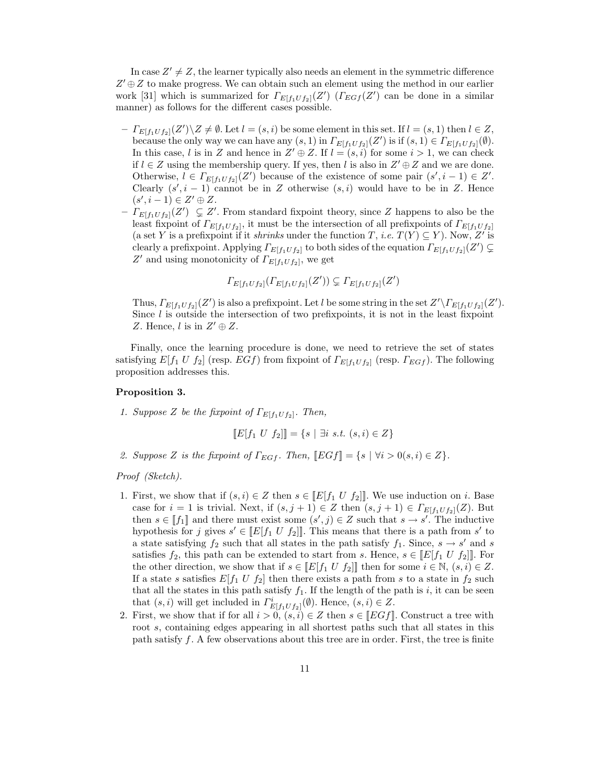In case  $Z' \neq Z$ , the learner typically also needs an element in the symmetric difference  $Z' \oplus Z$  to make progress. We can obtain such an element using the method in our earlier work [31] which is summarized for  $\Gamma_{E[f_1 U f_2]}(Z')$  ( $\Gamma_{E G f}(Z')$  can be done in a similar manner) as follows for the different cases possible.

- $-I_{E[f_1U_{f_2}]}(Z')\backslash Z\neq\emptyset$ . Let  $l=(s,i)$  be some element in this set. If  $l=(s,1)$  then  $l\in Z$ , because the only way we can have any  $(s,1)$  in  $\Gamma_{E[f_1 U f_2]}(Z')$  is if  $(s,1) \in \Gamma_{E[f_1 U f_2]}(\emptyset)$ . In this case, l is in Z and hence in  $Z' \oplus Z$ . If  $l = (s, i)$  for some  $i > 1$ , we can check if  $l \in \mathbb{Z}$  using the membership query. If yes, then l is also in  $\mathbb{Z}' \oplus \mathbb{Z}$  and we are done. Otherwise,  $l \in \Gamma_{E[f_1 U f_2]}(Z')$  because of the existence of some pair  $(s', i - 1) \in Z'$ . Clearly  $(s', i - 1)$  cannot be in Z otherwise  $(s, i)$  would have to be in Z. Hence  $(s', i-1) \in Z' \oplus Z.$
- $-I_{E[f_1U_{f_2}]}(Z') \subsetneq Z'.$  From standard fixpoint theory, since Z happens to also be the least fixpoint of  $\Gamma_{E[f_1 U f_2]}$ , it must be the intersection of all prefixpoints of  $\Gamma_{E[f_1 U f_2]}$ (a set Y is a prefixpoint if it *shrinks* under the function T, *i.e.*  $T(Y) \subseteq Y$ ). Now, Z' is clearly a prefixpoint. Applying  $\Gamma_{E[f_1U f_2]}$  to both sides of the equation  $\Gamma_{E[f_1U f_2]}(Z') \subsetneq$ Z' and using monotonicity of  $\Gamma_{E[f_1 U f_2]}$ , we get

$$
\Gamma_{E[f_1 \cup f_2]}(\Gamma_{E[f_1 \cup f_2]}(Z')) \subsetneq \Gamma_{E[f_1 \cup f_2]}(Z')
$$

Thus,  $\Gamma_{E[f_1\cup f_2]}(Z')$  is also a prefixpoint. Let l be some string in the set  $Z'\backslash \Gamma_{E[f_1\cup f_2]}(Z')$ . Since  $l$  is outside the intersection of two prefixpoints, it is not in the least fixpoint Z. Hence, l is in  $Z' \oplus Z$ .

Finally, once the learning procedure is done, we need to retrieve the set of states satisfying  $E[f_1 \, U \, f_2]$  (resp.  $Edf$ ) from fixpoint of  $\Gamma_{E[f_1 U f_2]}$  (resp.  $\Gamma_{EGf}$ ). The following proposition addresses this.

#### Proposition 3.

1. Suppose Z be the fixpoint of  $\Gamma_{E[f_1 \cup f_2]}$ . Then,

$$
[[E[f_1 \ U \ f_2]]] = \{s \mid \exists i \ s.t. \ (s,i) \in Z\}
$$

2. Suppose Z is the fixpoint of  $\Gamma_{EGf}$ . Then,  $\llbracket EGf \rrbracket = \{s \mid \forall i > 0 (s, i) \in Z\}.$ 

Proof (Sketch).

- 1. First, we show that if  $(s,i) \in Z$  then  $s \in [E[f_1 \cup f_2]]$ . We use induction on i. Base case for  $i = 1$  is trivial. Next, if  $(s, j + 1) \in Z$  then  $(s, j + 1) \in \Gamma_{E[f_1 U f_2]}(Z)$ . But then  $s \in [f_1]$  and there must exist some  $(s', j) \in Z$  such that  $s \to s'$ . The inductive hypothesis for j gives  $s' \in [E[f_1 \cup f_2]]$ . This means that there is a path from  $s'$  to a state satisfying  $f_2$  such that all states in the path satisfy  $f_1$ . Since,  $s \to s'$  and s satisfies  $f_2$ , this path can be extended to start from s. Hence,  $s \in [E[f_1 \cup f_2]]$ . For the other direction, we show that if  $s \in [E[f_1 \cup f_2]]$  then for some  $i \in \mathbb{N}, (s, i) \in Z$ . If a state s satisfies  $E[f_1 \, U \, f_2]$  then there exists a path from s to a state in  $f_2$  such that all the states in this path satisfy  $f_1$ . If the length of the path is i, it can be seen that  $(s, i)$  will get included in  $\Gamma^i_{E[f_1 U f_2]}(\emptyset)$ . Hence,  $(s, i) \in Z$ .
- 2. First, we show that if for all  $i > 0, (s, i) \in Z$  then  $s \in [EGf]$ . Construct a tree with root s, containing edges appearing in all shortest paths such that all states in this path satisfy  $f$ . A few observations about this tree are in order. First, the tree is finite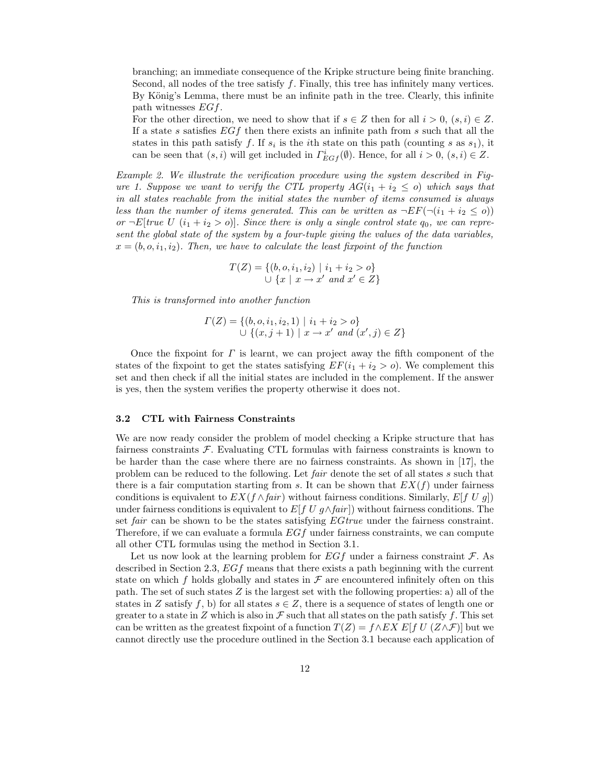branching; an immediate consequence of the Kripke structure being finite branching. Second, all nodes of the tree satisfy  $f$ . Finally, this tree has infinitely many vertices. By König's Lemma, there must be an infinite path in the tree. Clearly, this infinite path witnesses EGf.

For the other direction, we need to show that if  $s \in Z$  then for all  $i > 0$ ,  $(s, i) \in Z$ . If a state s satisfies  $EGf$  then there exists an infinite path from s such that all the states in this path satisfy f. If  $s_i$  is the *i*th state on this path (counting s as  $s_1$ ), it can be seen that  $(s, i)$  will get included in  $\Gamma_{EGf}^i(\emptyset)$ . Hence, for all  $i > 0$ ,  $(s, i) \in Z$ .

Example 2. We illustrate the verification procedure using the system described in Figure 1. Suppose we want to verify the CTL property  $AG(i_1 + i_2 \leq o)$  which says that in all states reachable from the initial states the number of items consumed is always less than the number of items generated. This can be written as  $\neg EF(\neg(i_1 + i_2 \leq o))$ or  $\neg E$ [true U (i<sub>1</sub> + i<sub>2</sub> > o)]. Since there is only a single control state  $q_0$ , we can represent the global state of the system by a four-tuple giving the values of the data variables,  $x = (b, o, i_1, i_2)$ . Then, we have to calculate the least fixpoint of the function

$$
T(Z) = \{ (b, o, i_1, i_2) \mid i_1 + i_2 > o \}
$$
  

$$
\cup \{ x \mid x \to x' \text{ and } x' \in Z \}
$$

This is transformed into another function

$$
\Gamma(Z) = \{ (b, o, i_1, i_2, 1) \mid i_1 + i_2 > o \}
$$
  

$$
\cup \{ (x, j + 1) \mid x \to x' \text{ and } (x', j) \in Z \}
$$

Once the fixpoint for  $\Gamma$  is learnt, we can project away the fifth component of the states of the fixpoint to get the states satisfying  $EF(i_1 + i_2 > o)$ . We complement this set and then check if all the initial states are included in the complement. If the answer is yes, then the system verifies the property otherwise it does not.

#### 3.2 CTL with Fairness Constraints

We are now ready consider the problem of model checking a Kripke structure that has fairness constraints  $\mathcal F$ . Evaluating CTL formulas with fairness constraints is known to be harder than the case where there are no fairness constraints. As shown in [17], the problem can be reduced to the following. Let fair denote the set of all states s such that there is a fair computation starting from s. It can be shown that  $EX(f)$  under fairness conditions is equivalent to  $EX(f \wedge fair)$  without fairness conditions. Similarly,  $E[f U g]$ under fairness conditions is equivalent to  $E[f U q \wedge fair]$  without fairness conditions. The set fair can be shown to be the states satisfying EGtrue under the fairness constraint. Therefore, if we can evaluate a formula  $EGf$  under fairness constraints, we can compute all other CTL formulas using the method in Section 3.1.

Let us now look at the learning problem for  $EGf$  under a fairness constraint  $\mathcal F$ . As described in Section 2.3, EGf means that there exists a path beginning with the current state on which f holds globally and states in  $\mathcal F$  are encountered infinitely often on this path. The set of such states  $Z$  is the largest set with the following properties: a) all of the states in Z satisfy f, b) for all states  $s \in Z$ , there is a sequence of states of length one or greater to a state in Z which is also in  $\mathcal F$  such that all states on the path satisfy f. This set can be written as the greatest fixpoint of a function  $T(Z) = f \wedge EX \ E[f \ U \ (Z \wedge \mathcal{F})]$  but we cannot directly use the procedure outlined in the Section 3.1 because each application of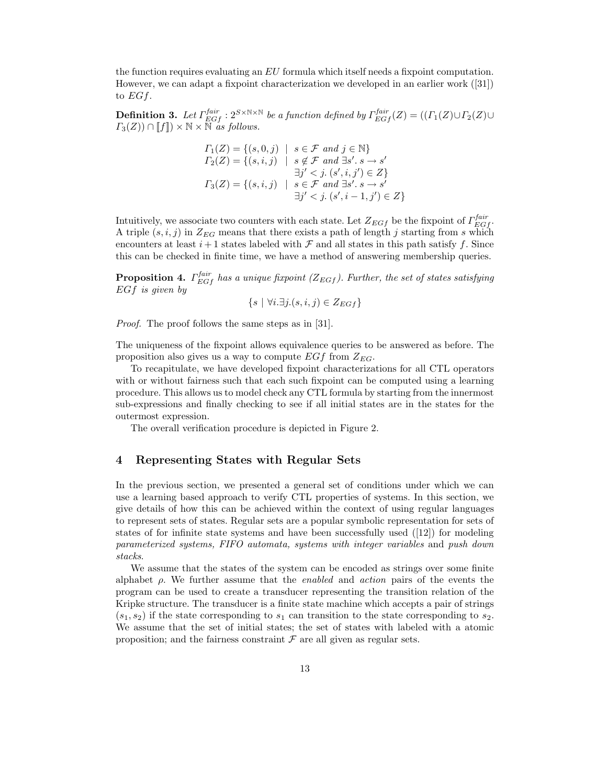the function requires evaluating an EU formula which itself needs a fixpoint computation. However, we can adapt a fixpoint characterization we developed in an earlier work ([31]) to  $EGf$ .

**Definition 3.** Let  $\Gamma_{EGf}^{fair}$ :  $2^{S \times N \times N}$  be a function defined by  $\Gamma_{EGf}^{fair}(Z) = ((\Gamma_1(Z) \cup \Gamma_2(Z) \cup \Gamma_3(Z) \cup \Gamma_4(Z)))$  $\Gamma_3(Z)$ )  $\cap$  [f])  $\times \mathbb{N} \times \mathbb{N}$  as follows.

$$
\begin{aligned}\n\Gamma_1(Z) &= \{ (s, 0, j) \mid s \in \mathcal{F} \text{ and } j \in \mathbb{N} \} \\
\Gamma_2(Z) &= \{ (s, i, j) \mid s \notin \mathcal{F} \text{ and } \exists s'. \ s \to s' \\
\exists j' < j. \ (s', i, j') \in Z \} \\
\Gamma_3(Z) &= \{ (s, i, j) \mid s \in \mathcal{F} \text{ and } \exists s'. \ s \to s' \\
\exists j' < j. \ (s', i - 1, j') \in Z \} \n\end{aligned}
$$

Intuitively, we associate two counters with each state. Let  $Z_{EGf}$  be the fixpoint of  $\Gamma_{EGf}^{fair}$ . A triple  $(s,i,j)$  in  $Z_{EG}$  means that there exists a path of length j starting from s which encounters at least  $i+1$  states labeled with  $\mathcal F$  and all states in this path satisfy f. Since this can be checked in finite time, we have a method of answering membership queries.

**Proposition 4.**  $\Gamma_{EGf}^{fair}$  has a unique fixpoint ( $Z_{EGf}$ ). Further, the set of states satisfying EGf is given by

$$
\{s \mid \forall i. \exists j.(s, i, j) \in Z_{EGf}\}
$$

*Proof.* The proof follows the same steps as in [31].

The uniqueness of the fixpoint allows equivalence queries to be answered as before. The proposition also gives us a way to compute  $EGf$  from  $Z_{EG}$ .

To recapitulate, we have developed fixpoint characterizations for all CTL operators with or without fairness such that each such fixpoint can be computed using a learning procedure. This allows us to model check any CTL formula by starting from the innermost sub-expressions and finally checking to see if all initial states are in the states for the outermost expression.

The overall verification procedure is depicted in Figure 2.

## 4 Representing States with Regular Sets

In the previous section, we presented a general set of conditions under which we can use a learning based approach to verify CTL properties of systems. In this section, we give details of how this can be achieved within the context of using regular languages to represent sets of states. Regular sets are a popular symbolic representation for sets of states of for infinite state systems and have been successfully used  $([12])$  for modeling parameterized systems, FIFO automata, systems with integer variables and push down stacks.

We assume that the states of the system can be encoded as strings over some finite alphabet  $\rho$ . We further assume that the *enabled* and *action* pairs of the events the program can be used to create a transducer representing the transition relation of the Kripke structure. The transducer is a finite state machine which accepts a pair of strings  $(s_1, s_2)$  if the state corresponding to  $s_1$  can transition to the state corresponding to  $s_2$ . We assume that the set of initial states; the set of states with labeled with a atomic proposition; and the fairness constraint  $\mathcal F$  are all given as regular sets.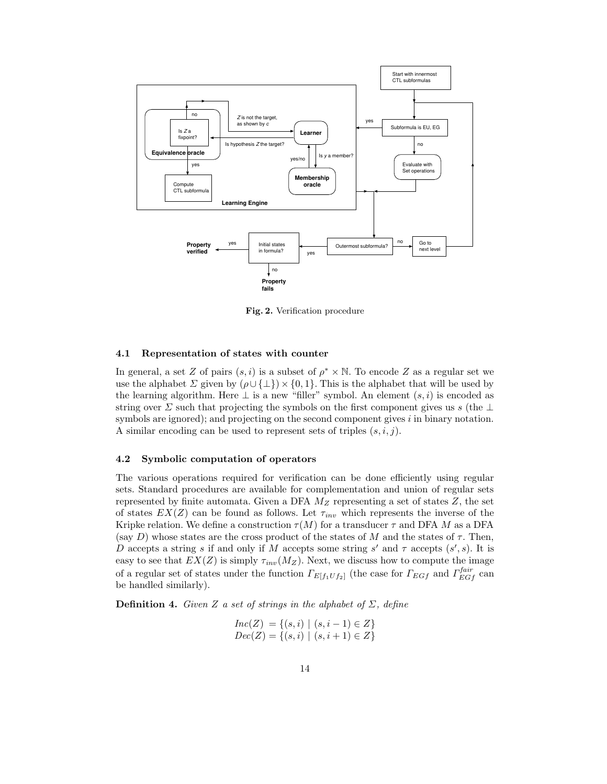

Fig. 2. Verification procedure

#### 4.1 Representation of states with counter

In general, a set Z of pairs  $(s, i)$  is a subset of  $\rho^* \times \mathbb{N}$ . To encode Z as a regular set we use the alphabet  $\Sigma$  given by  $(\rho \cup \{\bot\}) \times \{0,1\}$ . This is the alphabet that will be used by the learning algorithm. Here  $\perp$  is a new "filler" symbol. An element  $(s, i)$  is encoded as string over  $\Sigma$  such that projecting the symbols on the first component gives us s (the  $\bot$ symbols are ignored); and projecting on the second component gives  $i$  in binary notation. A similar encoding can be used to represent sets of triples  $(s, i, j)$ .

#### 4.2 Symbolic computation of operators

The various operations required for verification can be done efficiently using regular sets. Standard procedures are available for complementation and union of regular sets represented by finite automata. Given a DFA  $M_Z$  representing a set of states  $Z$ , the set of states  $EX(Z)$  can be found as follows. Let  $\tau_{inv}$  which represents the inverse of the Kripke relation. We define a construction  $\tau(M)$  for a transducer  $\tau$  and DFA M as a DFA (say D) whose states are the cross product of the states of M and the states of  $\tau$ . Then, D accepts a string s if and only if M accepts some string s' and  $\tau$  accepts  $(s', s)$ . It is easy to see that  $EX(Z)$  is simply  $\tau_{inv}(M_Z)$ . Next, we discuss how to compute the image of a regular set of states under the function  $\Gamma_{E[f_1Uf_2]}$  (the case for  $\Gamma_{EGf}$  and  $\Gamma_{EGf}^{fair}$  can be handled similarly).

**Definition 4.** Given Z a set of strings in the alphabet of  $\Sigma$ , define

$$
Inc(Z) = \{ (s, i) \mid (s, i - 1) \in Z \}
$$
  

$$
Dec(Z) = \{ (s, i) \mid (s, i + 1) \in Z \}
$$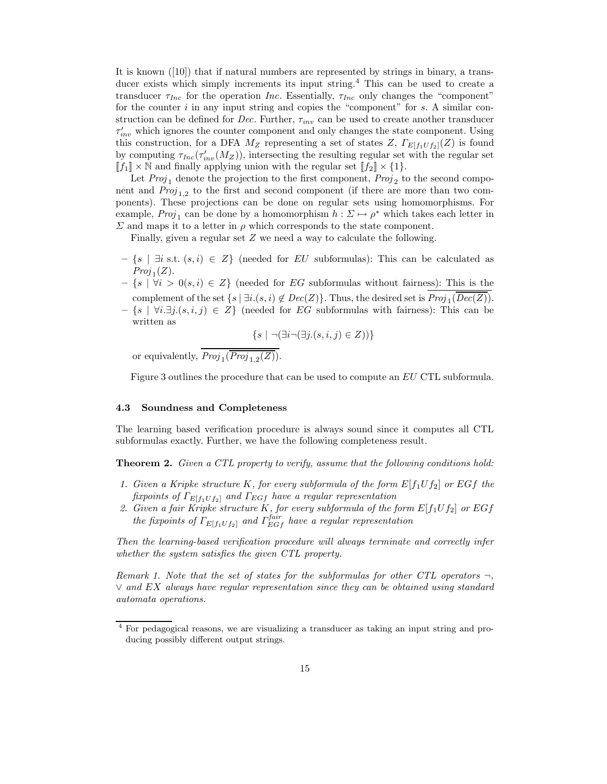It is known ([10]) that if natural numbers are represented by strings in binary, a transducer exists which simply increments its input string.<sup>4</sup> This can be used to create a transducer  $\tau_{Inc}$  for the operation Inc. Essentially,  $\tau_{Inc}$  only changes the "component" for the counter  $i$  in any input string and copies the "component" for  $s$ . A similar construction can be defined for Dec. Further,  $\tau_{inv}$  can be used to create another transducer  $\tau'_{inv}$  which ignores the counter component and only changes the state component. Using this construction, for a DFA  $M_Z$  representing a set of states Z,  $\Gamma_{E[f_1Uf_2]}(Z)$  is found by computing  $\tau_{Inc}(\tau'_{inv}(M_Z))$ , intersecting the resulting regular set with the regular set  $[[f_1] \times \mathbb{N}$  and finally applying union with the regular set  $[[f_2] \times \{1\}$ .

Let  $Proj_1$  denote the projection to the first component,  $Proj_2$  to the second component and  $Proj_{1,2}$  to the first and second component (if there are more than two components). These projections can be done on regular sets using homomorphisms. For example,  $Proj_1$  can be done by a homomorphism  $h: \Sigma \mapsto \rho^*$  which takes each letter in  $\Sigma$  and maps it to a letter in  $\rho$  which corresponds to the state component.

Finally, given a regular set Z we need a way to calculate the following.

- $-\{s \mid \exists i \text{ s.t. } (s,i) \in Z\}$  (needed for EU subformulas): This can be calculated as  $Proj_1(Z).$
- $\{s \mid \forall i > 0 (s, i) \in Z\}$  (needed for EG subformulas without fairness): This is the complement of the set  $\{s \mid \exists i. (s, i) \notin Dec(Z)\}$ . Thus, the desired set is  $Proj_1(Dec(Z))$ .
- {s | ∀i.∃j.(s,i, j) ∈ Z} (needed for EG subformulas with fairness): This can be written as

$$
\{s \mid \neg (\exists i \neg (\exists j.(s, i, j) \in Z))\}
$$

or equivalently,  $Proj_1(Proj_{1,2}(Z))$ .

Figure 3 outlines the procedure that can be used to compute an EU CTL subformula.

#### 4.3 Soundness and Completeness

The learning based verification procedure is always sound since it computes all CTL subformulas exactly. Further, we have the following completeness result.

**Theorem 2.** Given a CTL property to verify, assume that the following conditions hold:

- 1. Given a Kripke structure K, for every subformula of the form  $E[f_1Uf_2]$  or EGf the fixpoints of  $\Gamma_{E[f_1 \cup f_2]}$  and  $\Gamma_{E G f}$  have a regular representation
- 2. Given a fair Kripke structure K, for every subformula of the form  $E[f_1Uf_2]$  or  $EGf$ the fixpoints of  $\Gamma_{E[f_1 U f_2]}$  and  $\Gamma_{E G f}^{fair}$  have a regular representation

Then the learning-based verification procedure will always terminate and correctly infer whether the system satisfies the given CTL property.

Remark 1. Note that the set of states for the subformulas for other CTL operators  $\neg$ ,  $\vee$  and EX always have regular representation since they can be obtained using standard automata operations.

<sup>4</sup> For pedagogical reasons, we are visualizing a transducer as taking an input string and producing possibly different output strings.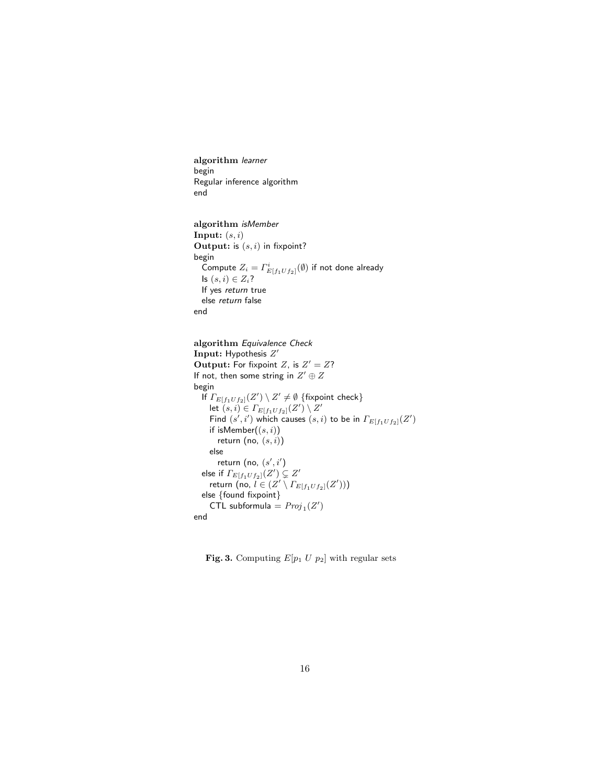algorithm learner begin Regular inference algorithm end

```
algorithm isMember
Input: (s, i)Output: is (s, i) in fixpoint?
begin
  Compute Z_i = \varGamma_{E[f_1 U f_2]}^i(\emptyset) if not done already
  Is (s, i) \in Z_i?
  If yes return true
  else return false
end
```

```
algorithm Equivalence Check
Input: Hypothesis Z'Output: For fixpoint Z, is Z' = Z?
If not, then some string in Z' \oplus Zbegin
   If \Gamma_{E[f_1 U f_2]}(Z') \setminus Z' \neq \emptyset {fixpoint check}
     let (s, i) \in \Gamma_{E[f_1 \cup f_2]}(Z') \setminus Z'Find (s', i') which causes (s, i) to be in \Gamma_{E[f_1 U f_2]}(Z')if isMember((s, i))return (no, (s, i))
     else
        return (no, (s', i')else if \overrightarrow{\Gamma_{E[f_1 U f_2]}}(Z') \subsetneq Z'return (no, l \in (Z' \setminus \Gamma_{E[f_1Uf_2]}(Z')))
  else {found fixpoint}
     CTL subformula = Proj_1(Z')end
```
**Fig. 3.** Computing  $E[p_1 \ U \ p_2]$  with regular sets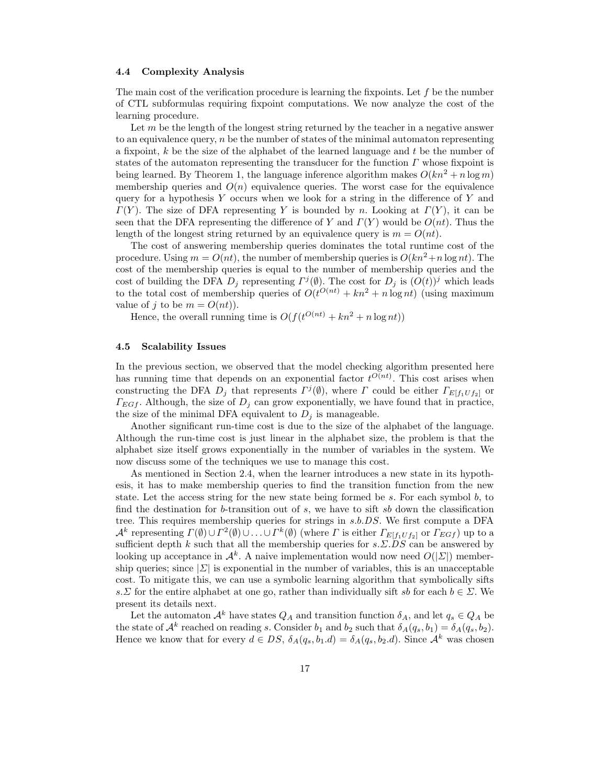#### 4.4 Complexity Analysis

The main cost of the verification procedure is learning the fixpoints. Let  $f$  be the number of CTL subformulas requiring fixpoint computations. We now analyze the cost of the learning procedure.

Let  $m$  be the length of the longest string returned by the teacher in a negative answer to an equivalence query,  $n$  be the number of states of the minimal automaton representing a fixpoint,  $k$  be the size of the alphabet of the learned language and  $t$  be the number of states of the automaton representing the transducer for the function  $\Gamma$  whose fixpoint is being learned. By Theorem 1, the language inference algorithm makes  $O(kn^2 + n \log m)$ membership queries and  $O(n)$  equivalence queries. The worst case for the equivalence query for a hypothesis Y occurs when we look for a string in the difference of Y and  $\Gamma(Y)$ . The size of DFA representing Y is bounded by n. Looking at  $\Gamma(Y)$ , it can be seen that the DFA representing the difference of Y and  $\Gamma(Y)$  would be  $O(nt)$ . Thus the length of the longest string returned by an equivalence query is  $m = O(nt)$ .

The cost of answering membership queries dominates the total runtime cost of the procedure. Using  $m = O(nt)$ , the number of membership queries is  $O(kn^2 + n \log nt)$ . The cost of the membership queries is equal to the number of membership queries and the cost of building the DFA  $D_j$  representing  $\Gamma^{j}(\emptyset)$ . The cost for  $D_j$  is  $(O(t))^j$  which leads to the total cost of membership queries of  $O(t^{O(nt)} + kn^2 + n \log nt)$  (using maximum value of j to be  $m = O(nt)$ .

Hence, the overall running time is  $O(f(t^{O(nt)} + kn^2 + n \log nt))$ 

#### 4.5 Scalability Issues

In the previous section, we observed that the model checking algorithm presented here has running time that depends on an exponential factor  $t^{O(nt)}$ . This cost arises when constructing the DFA  $D_j$  that represents  $\Gamma^j(\emptyset)$ , where  $\Gamma$  could be either  $\Gamma_{E[f_1 U f_2]}$  or  $\Gamma_{EGf}$ . Although, the size of  $D_i$  can grow exponentially, we have found that in practice, the size of the minimal DFA equivalent to  $D_i$  is manageable.

Another significant run-time cost is due to the size of the alphabet of the language. Although the run-time cost is just linear in the alphabet size, the problem is that the alphabet size itself grows exponentially in the number of variables in the system. We now discuss some of the techniques we use to manage this cost.

As mentioned in Section 2.4, when the learner introduces a new state in its hypothesis, it has to make membership queries to find the transition function from the new state. Let the access string for the new state being formed be  $s$ . For each symbol  $b$ , to find the destination for b-transition out of s, we have to sift sb down the classification tree. This requires membership queries for strings in s.b.DS. We first compute a DFA  $\mathcal{A}^k$  representing  $\Gamma(\emptyset) \cup \Gamma^2(\emptyset) \cup \ldots \cup \Gamma^k(\emptyset)$  (where  $\Gamma$  is either  $\Gamma_{E[f_1\cup f_2]}$  or  $\Gamma_{E G f}$ ) up to a sufficient depth k such that all the membership queries for  $s.\Sigma.DS$  can be answered by looking up acceptance in  $\mathcal{A}^k$ . A naive implementation would now need  $O(|\mathcal{Z}|)$  membership queries; since  $|\Sigma|$  is exponential in the number of variables, this is an unacceptable cost. To mitigate this, we can use a symbolic learning algorithm that symbolically sifts s. Σ for the entire alphabet at one go, rather than individually sift sb for each  $b \in \Sigma$ . We present its details next.

Let the automaton  $\mathcal{A}^k$  have states  $Q_A$  and transition function  $\delta_A$ , and let  $q_s \in Q_A$  be the state of  $\mathcal{A}^k$  reached on reading s. Consider  $b_1$  and  $b_2$  such that  $\delta_A(q_s, b_1) = \delta_A(q_s, b_2)$ . Hence we know that for every  $d \in DS$ ,  $\delta_A(q_s, b_1.d) = \delta_A(q_s, b_2.d)$ . Since  $\mathcal{A}^k$  was chosen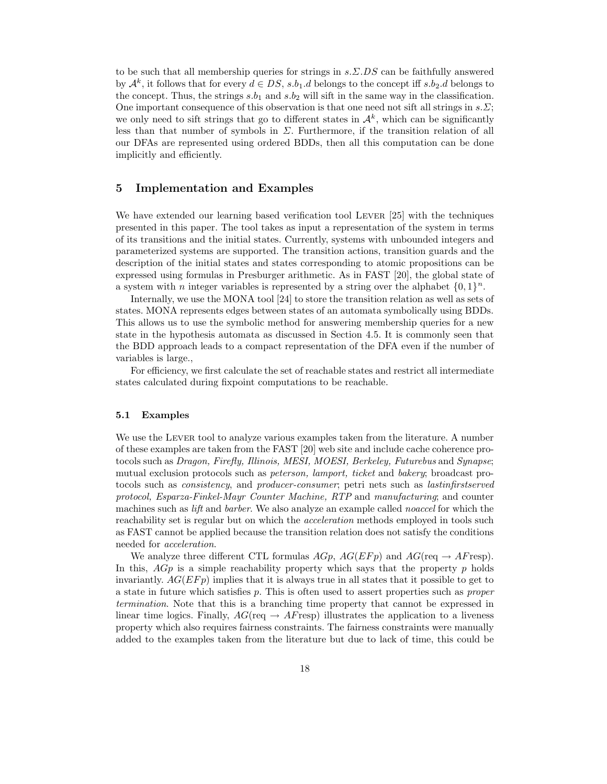to be such that all membership queries for strings in  $s.\Sigma.DS$  can be faithfully answered by  $\mathcal{A}^k$ , it follows that for every  $d \in DS$ ,  $s.b_1.d$  belongs to the concept iff  $s.b_2.d$  belongs to the concept. Thus, the strings  $s.b_1$  and  $s.b_2$  will sift in the same way in the classification. One important consequence of this observation is that one need not sift all strings in  $s.\Sigma$ ; we only need to sift strings that go to different states in  $\mathcal{A}^k$ , which can be significantly less than that number of symbols in  $\Sigma$ . Furthermore, if the transition relation of all our DFAs are represented using ordered BDDs, then all this computation can be done implicitly and efficiently.

## 5 Implementation and Examples

We have extended our learning based verification tool LEVER [25] with the techniques presented in this paper. The tool takes as input a representation of the system in terms of its transitions and the initial states. Currently, systems with unbounded integers and parameterized systems are supported. The transition actions, transition guards and the description of the initial states and states corresponding to atomic propositions can be expressed using formulas in Presburger arithmetic. As in FAST [20], the global state of a system with *n* integer variables is represented by a string over the alphabet  $\{0, 1\}^n$ .

Internally, we use the MONA tool [24] to store the transition relation as well as sets of states. MONA represents edges between states of an automata symbolically using BDDs. This allows us to use the symbolic method for answering membership queries for a new state in the hypothesis automata as discussed in Section 4.5. It is commonly seen that the BDD approach leads to a compact representation of the DFA even if the number of variables is large.,

For efficiency, we first calculate the set of reachable states and restrict all intermediate states calculated during fixpoint computations to be reachable.

#### 5.1 Examples

We use the LEVER tool to analyze various examples taken from the literature. A number of these examples are taken from the FAST [20] web site and include cache coherence protocols such as Dragon, Firefly, Illinois, MESI, MOESI, Berkeley, Futurebus and Synapse; mutual exclusion protocols such as peterson, lamport, ticket and bakery; broadcast protocols such as consistency, and producer-consumer; petri nets such as lastinfirstserved protocol, Esparza-Finkel-Mayr Counter Machine, RTP and manufacturing; and counter machines such as *lift* and *barber*. We also analyze an example called *noaccel* for which the reachability set is regular but on which the acceleration methods employed in tools such as FAST cannot be applied because the transition relation does not satisfy the conditions needed for acceleration.

We analyze three different CTL formulas  $AGp$ ,  $AG(EFp)$  and  $AG(\text{req} \rightarrow AF\text{resp}).$ In this,  $AGp$  is a simple reachability property which says that the property p holds invariantly.  $AG(EFp)$  implies that it is always true in all states that it possible to get to a state in future which satisfies p. This is often used to assert properties such as proper termination. Note that this is a branching time property that cannot be expressed in linear time logics. Finally,  $AG(\text{req} \rightarrow AF \text{resp})$  illustrates the application to a liveness property which also requires fairness constraints. The fairness constraints were manually added to the examples taken from the literature but due to lack of time, this could be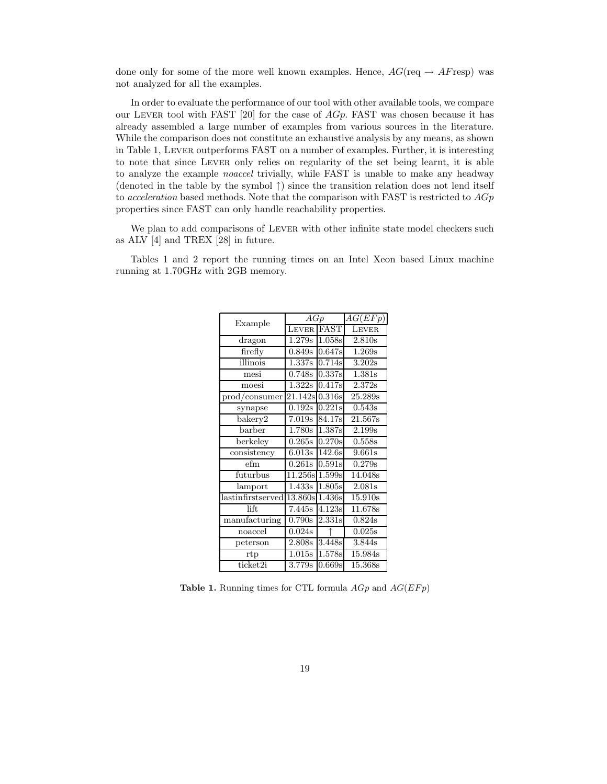done only for some of the more well known examples. Hence,  $AG(\text{req} \rightarrow AF \text{resp})$  was not analyzed for all the examples.

In order to evaluate the performance of our tool with other available tools, we compare our LEVER tool with FAST [20] for the case of  $AGp$ . FAST was chosen because it has already assembled a large number of examples from various sources in the literature. While the comparison does not constitute an exhaustive analysis by any means, as shown in Table 1, Lever outperforms FAST on a number of examples. Further, it is interesting to note that since Lever only relies on regularity of the set being learnt, it is able to analyze the example *noaccel* trivially, while FAST is unable to make any headway (denoted in the table by the symbol  $\uparrow$ ) since the transition relation does not lend itself to acceleration based methods. Note that the comparison with FAST is restricted to  $AGp$ properties since FAST can only handle reachability properties.

We plan to add comparisons of LEVER with other infinite state model checkers such as ALV [4] and TREX [28] in future.

Tables 1 and 2 report the running times on an Intel Xeon based Linux machine running at 1.70GHz with 2GB memory.

| Example                      | AGp                 |                     | AG(EFp)               |
|------------------------------|---------------------|---------------------|-----------------------|
|                              | LEVER               | FAST                | LEVER                 |
| dragon                       | 1.279s              | 1.058s              | 2.810s                |
| firefly                      | 0.849s              | 0.647s              | $\overline{1.269s}$   |
| illinois                     | 1.337s              | 0.714s              | 3.202s                |
| mesi                         | 0.748s              | 0.337s              | 1.381s                |
| moesi                        | 1.322s              | 0.417s              | 2.372s                |
| prod/consumer                | 21.142s             | 0.316s              | 25.289s               |
| synapse                      | 0.192s              | 0.221s              | 0.543s                |
| $\overline{\text{b}a}$ kery2 | 7.019s              | 84.17s              | 21.567s               |
| barber                       | 1.780s              | 1.387s              | 2.199 <sub>s</sub>    |
| berkeley                     | 0.265s              | 0.270s              | 0.558s                |
| consistency                  | 6.013s              | $\overline{142.6s}$ | 9.661s                |
| efm                          | 0.261s              | 0.591s              | 0.279s                |
| futurbus                     | 11.256s             | 1.599s              | 14.048s               |
| lamport                      | 1.433s              | 1.805s              | 2.081s                |
| lastinfirstserved            | 13.860s             | 1.436s              | 15.910s               |
| lift.                        | 7.445s              | 4.123s              | 11.678s               |
| manufacturing                | $\overline{0.790s}$ | 2.331s              | 0.824s                |
| noaccel                      | 0.024s              |                     | 0.025s                |
| peterson                     | 2.808s              | 3.448s              | 3.844s                |
| rtp                          | 1.015s              | 1.578s              | 15.984s               |
| ticket2i                     | 3.779s              | 0.669s              | $\overline{15.368}$ s |

Table 1. Running times for CTL formula  $AGp$  and  $AG(EFp)$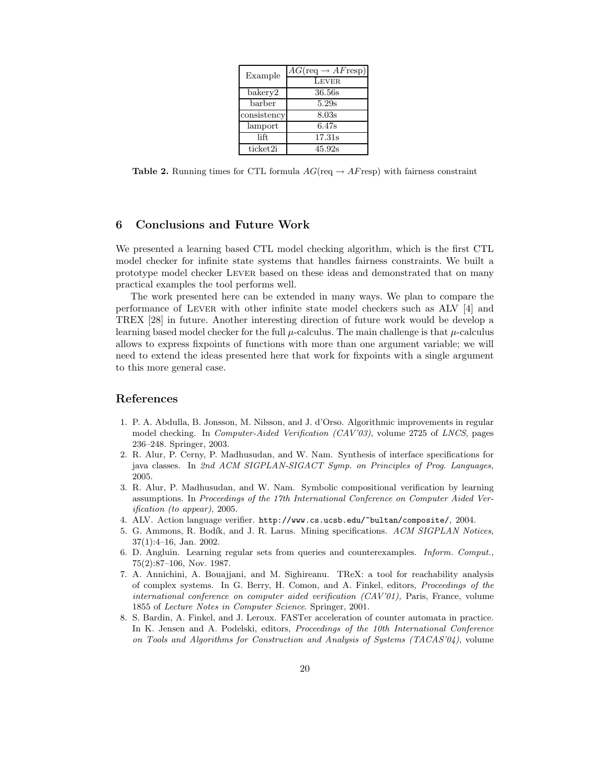| Example     | $AG(\text{req} \rightarrow AF \text{resp})$ |  |  |
|-------------|---------------------------------------------|--|--|
|             | <b>LEVER</b>                                |  |  |
| bakery2     | 36.56s                                      |  |  |
| barber      | 5.29s                                       |  |  |
| consistency | 8.03s                                       |  |  |
| lamport     | 6.47s                                       |  |  |
| lift.       | 17.31s                                      |  |  |
| ticket2i    | 45.92s                                      |  |  |

Table 2. Running times for CTL formula  $AG(\text{req} \rightarrow AF \text{resp})$  with fairness constraint

### 6 Conclusions and Future Work

We presented a learning based CTL model checking algorithm, which is the first CTL model checker for infinite state systems that handles fairness constraints. We built a prototype model checker Lever based on these ideas and demonstrated that on many practical examples the tool performs well.

The work presented here can be extended in many ways. We plan to compare the performance of Lever with other infinite state model checkers such as ALV [4] and TREX [28] in future. Another interesting direction of future work would be develop a learning based model checker for the full  $\mu$ -calculus. The main challenge is that  $\mu$ -calculus allows to express fixpoints of functions with more than one argument variable; we will need to extend the ideas presented here that work for fixpoints with a single argument to this more general case.

### References

- 1. P. A. Abdulla, B. Jonsson, M. Nilsson, and J. d'Orso. Algorithmic improvements in regular model checking. In *Computer-Aided Verification (CAV'03)*, volume 2725 of *LNCS*, pages 236–248. Springer, 2003.
- 2. R. Alur, P. Cerny, P. Madhusudan, and W. Nam. Synthesis of interface specifications for java classes. In 2nd ACM SIGPLAN-SIGACT Symp. on Principles of Prog. Languages, 2005.
- 3. R. Alur, P. Madhusudan, and W. Nam. Symbolic compositional verification by learning assumptions. In Proceedings of the 17th International Conference on Computer Aided Verification (to appear), 2005.
- 4. ALV. Action language verifier. http://www.cs.ucsb.edu/~bultan/composite/, 2004.
- 5. G. Ammons, R. Bodík, and J. R. Larus. Mining specifications. ACM SIGPLAN Notices, 37(1):4–16, Jan. 2002.
- 6. D. Angluin. Learning regular sets from queries and counterexamples. Inform. Comput., 75(2):87–106, Nov. 1987.
- 7. A. Annichini, A. Bouajjani, and M. Sighireanu. TReX: a tool for reachability analysis of complex systems. In G. Berry, H. Comon, and A. Finkel, editors, Proceedings of the international conference on computer aided verification  $(CAV'01)$ , Paris, France, volume 1855 of Lecture Notes in Computer Science. Springer, 2001.
- 8. S. Bardin, A. Finkel, and J. Leroux. FASTer acceleration of counter automata in practice. In K. Jensen and A. Podelski, editors, *Proceedings of the 10th International Conference* on Tools and Algorithms for Construction and Analysis of Systems (TACAS'04), volume